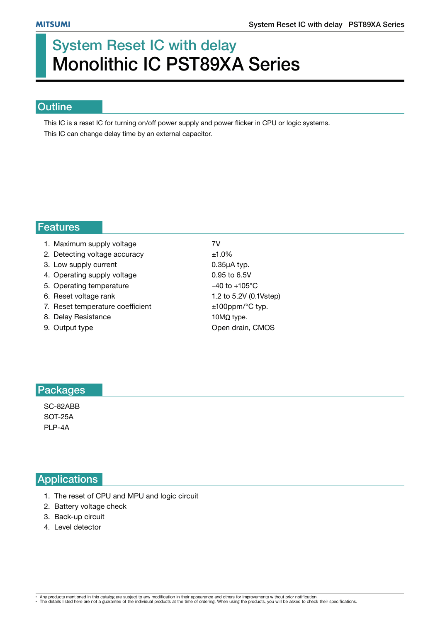# System Reset IC with delay Monolithic IC PST89XA Series

## **Outline**

This IC is a reset IC for turning on/off power supply and power flicker in CPU or logic systems. This IC can change delay time by an external capacitor.

#### Features

| 1. Maximum supply voltage        | 7V                        |
|----------------------------------|---------------------------|
| 2. Detecting voltage accuracy    | ±1.0%                     |
| 3. Low supply current            | $0.35\mu A$ typ.          |
| 4. Operating supply voltage      | 0.95 to 6.5V              |
| 5. Operating temperature         | $-40$ to $+105^{\circ}$ C |
| 6. Reset voltage rank            | 1.2 to 5.2V (0.1Vstep)    |
| 7. Reset temperature coefficient | $±100$ ppm/ $°C$ typ.     |
| 8. Delay Resistance              | 10 $M\Omega$ type.        |
| 9. Output type                   | Open drain, CMOS          |

## Packages

SC-82ABB SOT-25A PLP-4A

## **Applications**

- 1. The reset of CPU and MPU and logic circuit
- 2. Battery voltage check
- 3. Back-up circuit
- 4. Level detector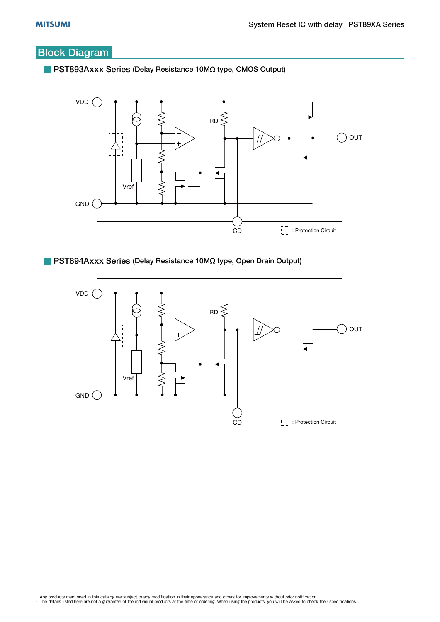## Block Diagram



#### **PST893Axxx Series (Delay Resistance 10M** $\Omega$  **type, CMOS Output)**

PST894Axxx Series (Delay Resistance 10MQ type, Open Drain Output)

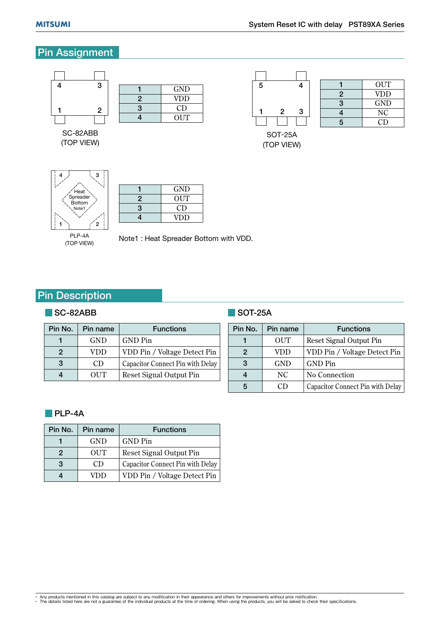1

## Pin Assignment



SC-82ABB (TOP VIEW)

3

2

|   | GND        |  |
|---|------------|--|
| 2 | <b>VDD</b> |  |
| 3 | CD         |  |
| 4 | OUT        |  |

(TOP VIEW)

|   | OUT        |
|---|------------|
| 2 | <b>VDD</b> |
| 3 | <b>GND</b> |
| 4 | NC         |
| 5 | CD         |



 $\begin{array}{c|c}\n1 & \text{GND} \\
\hline\n2 & \text{OUT}\n\end{array}$ **OUT** 3 CD 4 VDD

#### PLP-4A (TOP VIEW)

Note1 : Heat Spreader Bottom with VDD.

## Pin Description

#### SC-82ABB

| Pin No. | Pin name   | <b>Functions</b>                 |
|---------|------------|----------------------------------|
|         | <b>GND</b> | GND Pin                          |
| 2       | VDD        | VDD Pin / Voltage Detect Pin     |
| 3       | CD         | Capacitor Connect Pin with Delay |
|         | OUT        | Reset Signal Output Pin          |

## SOT-25A

| Pin No. | Pin name   | <b>Functions</b>                 |
|---------|------------|----------------------------------|
|         | <b>OUT</b> | Reset Signal Output Pin          |
| 2       | VDD        | VDD Pin / Voltage Detect Pin     |
|         | <b>GND</b> | <b>GND</b> Pin                   |
|         | NC.        | <b>No Connection</b>             |
|         | CD.        | Capacitor Connect Pin with Delay |

#### **PLP-4A**

| Pin No. | Pin name   | <b>Functions</b>                 |
|---------|------------|----------------------------------|
|         | <b>GND</b> | GND Pin                          |
| 2       | <b>OUT</b> | Reset Signal Output Pin          |
| 3       | CD         | Capacitor Connect Pin with Delay |
|         | лн         | VDD Pin / Voltage Detect Pin     |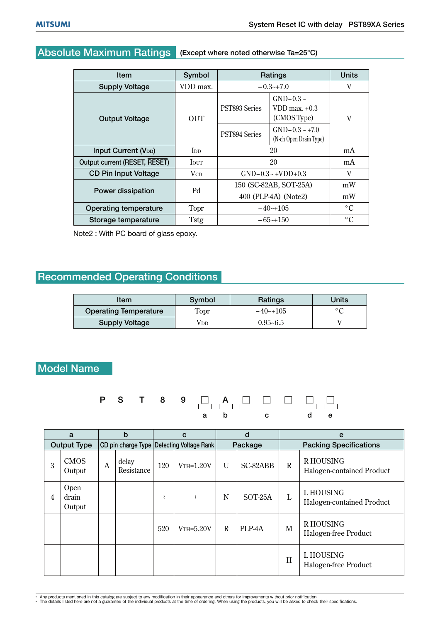# Absolute Maximum Ratings (Except where noted otherwise Ta=25°C)

| <b>Item</b>                           | Symbol                  |                      | Ratings                                            | Units           |
|---------------------------------------|-------------------------|----------------------|----------------------------------------------------|-----------------|
| <b>Supply Voltage</b>                 | VDD max.                | $-0.3-1.0$           | v                                                  |                 |
| <b>Output Voltage</b>                 | OUT                     | PST893 Series        | $GND-0.3 \sim$<br>$VDD$ max. $+0.3$<br>(CMOS Type) | V               |
|                                       |                         | PST894 Series        | $GND-0.3 \sim +7.0$<br>(N-ch Open Drain Type)      |                 |
| <b>Input Current (V<sub>DD</sub>)</b> | <b>I</b> <sub>D</sub>   | 20                   |                                                    | mA              |
| Output current (RESET, RESET)         | <b>I</b> OUT            |                      | 20                                                 | mA              |
| <b>CD Pin Input Voltage</b>           | <b>V</b> c <sub>D</sub> |                      | $GND-0.3 \sim +VDD+0.3$                            | V               |
|                                       | Pd                      |                      | 150 (SC-82AB, SOT-25A)                             | mW              |
| Power dissipation                     |                         | 400 (PLP-4A) (Note2) | mW                                                 |                 |
| Operating temperature                 | Topr                    | $-40$ $-105$         | $\circ$ C                                          |                 |
| Storage temperature                   | <b>Tstg</b>             |                      | $-65$ ~+150                                        | $\rm ^{\circ}C$ |

Note2 : With PC board of glass epoxy.

## Recommended Operating Conditions

| Item                         | Symbol | Ratings      | Units          |  |
|------------------------------|--------|--------------|----------------|--|
| <b>Operating Temperature</b> | Topr   | $-40$ $-105$ | $\circ$ $\cap$ |  |
| <b>Supply Voltage</b>        | √DD    | $0.95 - 6.5$ |                |  |

## Model Name

P S T 8 9 A a b c d e

|   | a                       |                | b                   |     | C                                         |              | d        |                               | e                                       |
|---|-------------------------|----------------|---------------------|-----|-------------------------------------------|--------------|----------|-------------------------------|-----------------------------------------|
|   | <b>Output Type</b>      |                |                     |     | CD pin charge Type Detecting Voltage Rank | Package      |          | <b>Packing Specifications</b> |                                         |
| 3 | <b>CMOS</b><br>Output   | $\overline{A}$ | delay<br>Resistance | 120 | $V$ TH= $1.20V$                           | $\mathbf{U}$ | SC-82ABB | $\mathbf R$                   | R HOUSING<br>Halogen-contained Product  |
| 4 | Open<br>drain<br>Output |                |                     |     | ₹                                         | N            | SOT-25A  | L                             | L HOUSING<br>Halogen-contained Product  |
|   |                         |                |                     | 520 | $V$ TH= $5.20V$                           | R            | PLP-4A   | M                             | <b>RHOUSING</b><br>Halogen-free Product |
|   |                         |                |                     |     |                                           |              |          | H                             | L HOUSING<br>Halogen-free Product       |

• Any products mentioned in this catalog are subject to any modification in their appearance and others for improvements without prior notification.<br>• The details listed here are not a guarantee of the individual products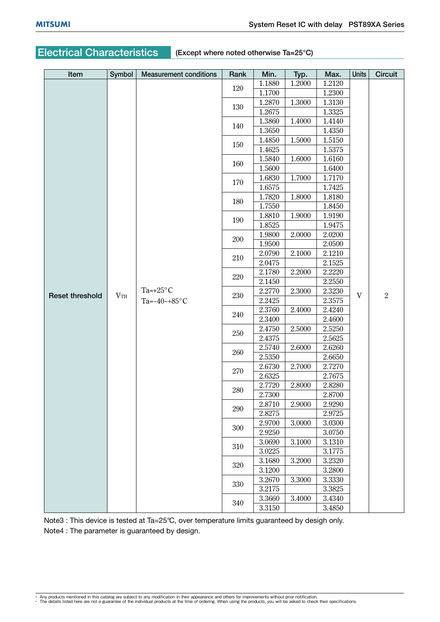## Electrical Characteristics (Except where noted otherwise Ta=25°C)

| Item                   | Symbol | <b>Measurement conditions</b> | Rank | Min.   | Typ.   | Max.   | <b>Units</b> | <b>Circuit</b> |
|------------------------|--------|-------------------------------|------|--------|--------|--------|--------------|----------------|
|                        |        |                               | 120  | 1.1880 | 1.2000 | 1.2120 |              |                |
|                        |        |                               |      | 1.1700 |        | 1.2300 |              |                |
|                        |        |                               | 130  | 1.2870 | 1.3000 | 1.3130 |              |                |
|                        |        |                               |      | 1.2675 |        | 1.3325 |              |                |
|                        |        |                               | 140  | 1.3860 | 1.4000 | 1.4140 |              |                |
|                        |        |                               |      | 1.3650 |        | 1.4350 |              |                |
|                        |        |                               | 150  | 1.4850 | 1.5000 | 1.5150 |              |                |
|                        |        |                               |      | 1.4625 |        | 1.5375 |              |                |
|                        |        |                               | 160  | 1.5840 | 1.6000 | 1.6160 |              |                |
|                        |        |                               |      | 1.5600 |        | 1.6400 |              |                |
|                        |        |                               | 170  | 1.6830 | 1.7000 | 1.7170 |              |                |
|                        |        |                               |      | 1.6575 |        | 1.7425 |              |                |
|                        |        |                               | 180  | 1.7820 | 1.8000 | 1.8180 |              |                |
|                        |        |                               |      | 1.7550 |        | 1.8450 |              |                |
|                        |        |                               | 190  | 1.8810 | 1.9000 | 1.9190 |              |                |
|                        |        |                               |      | 1.8525 |        | 1.9475 |              |                |
|                        |        |                               | 200  | 1.9800 | 2.0000 | 2.0200 |              |                |
|                        |        |                               |      | 1.9500 |        | 2.0500 |              |                |
|                        |        | Ta=+ $25^{\circ}$ C           | 210  | 2.0790 | 2.1000 | 2.1210 |              | $\overline{2}$ |
|                        |        |                               |      | 2.0475 |        | 2.1525 |              |                |
|                        |        |                               | 220  | 2.1780 | 2.2000 | 2.2220 |              |                |
|                        |        |                               |      | 2.1450 |        | 2.2550 |              |                |
| <b>Reset threshold</b> | VTH    |                               | 230  | 2.2770 | 2.3000 | 2.3230 | V            |                |
|                        |        | Ta= $-40$ ~+85°C              |      | 2.2425 |        | 2.3575 |              |                |
|                        |        |                               | 240  | 2.3760 | 2.4000 | 2.4240 |              |                |
|                        |        |                               |      | 2.3400 |        | 2.4600 |              |                |
|                        |        |                               | 250  | 2.4750 | 2.5000 | 2.5250 |              |                |
|                        |        |                               |      | 2.4375 |        | 2.5625 |              |                |
|                        |        |                               | 260  | 2.5740 | 2.6000 | 2.6260 |              |                |
|                        |        |                               |      | 2.5350 |        | 2.6650 |              |                |
|                        |        |                               | 270  | 2.6730 | 2.7000 | 2.7270 |              |                |
|                        |        |                               |      | 2.6325 |        | 2.7675 |              |                |
|                        |        |                               | 280  | 2.7720 | 2.8000 | 2.8280 |              |                |
|                        |        |                               |      | 2.7300 |        | 2.8700 |              |                |
|                        |        |                               | 290  | 2.8710 | 2.9000 | 2.9290 |              |                |
|                        |        |                               |      | 2.8275 |        | 2.9725 |              |                |
|                        |        |                               | 300  | 2.9700 | 3.0000 | 3.0300 |              |                |
|                        |        |                               |      | 2.9250 |        | 3.0750 |              |                |
|                        |        |                               | 310  | 3.0690 | 3.1000 | 3.1310 |              |                |
|                        |        |                               |      | 3.0225 |        | 3.1775 |              |                |
|                        |        |                               | 320  | 3.1680 | 3.2000 | 3.2320 |              |                |
|                        |        |                               |      | 3.1200 |        | 3.2800 |              |                |
|                        |        |                               | 330  | 3.2670 | 3.3000 | 3.3330 |              |                |
|                        |        |                               |      | 3.2175 |        | 3.3825 |              |                |
|                        |        |                               | 340  | 3.3660 | 3.4000 | 3.4340 |              |                |
|                        |        |                               |      | 3.3150 |        | 3.4850 |              |                |

Note3 : This device is tested at Ta=25°C, over temperature limits guaranteed by desigh only.

Note4 : The parameter is guaranteed by design.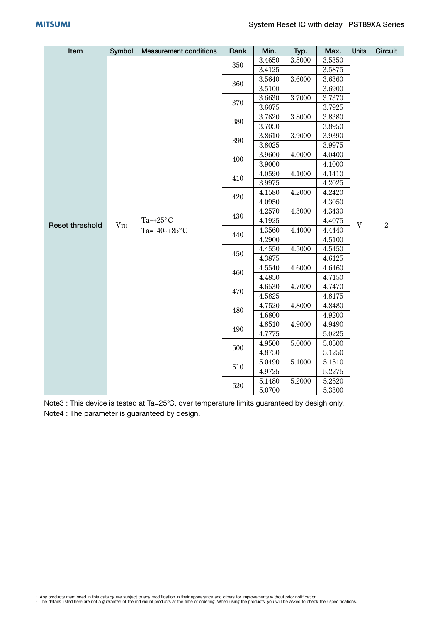| Item                   | Symbol       | <b>Measurement conditions</b> | Rank | Min.   | Typ.   | Max.   | <b>Units</b> | <b>Circuit</b> |
|------------------------|--------------|-------------------------------|------|--------|--------|--------|--------------|----------------|
|                        |              |                               |      | 3.4650 | 3.5000 | 3.5350 |              |                |
|                        |              |                               | 350  | 3.4125 |        | 3.5875 |              |                |
|                        |              |                               | 360  | 3.5640 | 3.6000 | 3.6360 |              |                |
|                        |              |                               |      | 3.5100 |        | 3.6900 |              |                |
|                        |              |                               | 370  | 3.6630 | 3.7000 | 3.7370 |              |                |
|                        |              |                               |      | 3.6075 |        | 3.7925 |              |                |
|                        |              |                               | 380  | 3.7620 | 3.8000 | 3.8380 |              |                |
|                        |              |                               |      | 3.7050 |        | 3.8950 |              |                |
|                        |              |                               | 390  | 3.8610 | 3.9000 | 3.9390 |              |                |
|                        |              |                               |      | 3.8025 |        | 3.9975 |              |                |
|                        |              |                               | 400  | 3.9600 | 4.0000 | 4.0400 |              |                |
|                        |              |                               |      | 3.9000 |        | 4.1000 |              |                |
|                        |              |                               | 410  | 4.0590 | 4.1000 | 4.1410 |              |                |
|                        |              |                               |      | 3.9975 |        | 4.2025 |              | $\overline{2}$ |
|                        |              | Ta=+25 $\mathrm{^{\circ}C}$   | 420  | 4.1580 | 4.2000 | 4.2420 |              |                |
|                        |              |                               |      | 4.0950 |        | 4.3050 |              |                |
|                        |              |                               | 430  | 4.2570 | 4.3000 | 4.3430 |              |                |
| <b>Reset threshold</b> | $V_{\rm TH}$ |                               |      | 4.1925 |        | 4.4075 | $\mathbf{V}$ |                |
|                        |              | Ta=-40~+85 $\textdegree$ C    | 440  | 4.3560 | 4.4000 | 4.4440 |              |                |
|                        |              |                               |      | 4.2900 |        | 4.5100 |              |                |
|                        |              |                               | 450  | 4.4550 | 4.5000 | 4.5450 |              |                |
|                        |              |                               |      | 4.3875 |        | 4.6125 |              |                |
|                        |              |                               | 460  | 4.5540 | 4.6000 | 4.6460 |              |                |
|                        |              |                               |      | 4.4850 |        | 4.7150 |              |                |
|                        |              |                               | 470  | 4.6530 | 4.7000 | 4.7470 |              |                |
|                        |              |                               |      | 4.5825 |        | 4.8175 |              |                |
|                        |              |                               | 480  | 4.7520 | 4.8000 | 4.8480 |              |                |
|                        |              |                               |      | 4.6800 |        | 4.9200 |              |                |
|                        |              |                               | 490  | 4.8510 | 4.9000 | 4.9490 |              |                |
|                        |              |                               |      | 4.7775 |        | 5.0225 |              |                |
|                        |              |                               | 500  | 4.9500 | 5.0000 | 5.0500 |              |                |
|                        |              |                               |      | 4.8750 |        | 5.1250 |              |                |
|                        |              |                               | 510  | 5.0490 | 5.1000 | 5.1510 |              |                |
|                        |              |                               |      | 4.9725 |        | 5.2275 |              |                |
|                        |              |                               | 520  | 5.1480 | 5.2000 | 5.2520 |              |                |
|                        |              |                               |      | 5.0700 |        | 5.3300 |              |                |

Note3 : This device is tested at Ta=25°C, over temperature limits guaranteed by desigh only. Note4 : The parameter is guaranteed by design.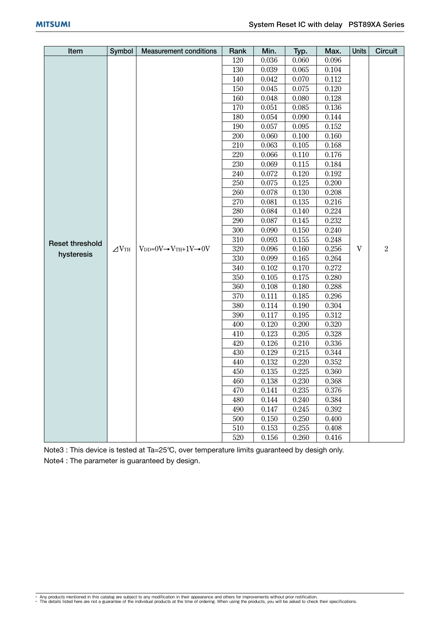| Item                   | Symbol       | <b>Measurement conditions</b>                        | Rank | Min.  | Typ.  | Max.  | <b>Units</b>              | <b>Circuit</b> |
|------------------------|--------------|------------------------------------------------------|------|-------|-------|-------|---------------------------|----------------|
|                        |              |                                                      | 120  | 0.036 | 0.060 | 0.096 |                           |                |
|                        |              |                                                      | 130  | 0.039 | 0.065 | 0.104 |                           |                |
|                        |              |                                                      | 140  | 0.042 | 0.070 | 0.112 |                           |                |
|                        |              |                                                      | 150  | 0.045 | 0.075 | 0.120 |                           |                |
|                        |              |                                                      | 160  | 0.048 | 0.080 | 0.128 |                           |                |
|                        |              |                                                      | 170  | 0.051 | 0.085 | 0.136 |                           |                |
|                        |              |                                                      | 180  | 0.054 | 0.090 | 0.144 |                           |                |
|                        |              |                                                      | 190  | 0.057 | 0.095 | 0.152 |                           |                |
|                        |              |                                                      | 200  | 0.060 | 0.100 | 0.160 |                           |                |
|                        |              |                                                      | 210  | 0.063 | 0.105 | 0.168 |                           |                |
|                        |              |                                                      | 220  | 0.066 | 0.110 | 0.176 |                           |                |
|                        |              |                                                      | 230  | 0.069 | 0.115 | 0.184 |                           |                |
|                        |              |                                                      | 240  | 0.072 | 0.120 | 0.192 |                           |                |
|                        |              |                                                      | 250  | 0.075 | 0.125 | 0.200 |                           |                |
|                        |              |                                                      | 260  | 0.078 | 0.130 | 0.208 |                           | $\overline{2}$ |
|                        |              |                                                      | 270  | 0.081 | 0.135 | 0.216 |                           |                |
|                        |              |                                                      | 280  | 0.084 | 0.140 | 0.224 |                           |                |
|                        |              |                                                      | 290  | 0.087 | 0.145 | 0.232 |                           |                |
|                        |              |                                                      | 300  | 0.090 | 0.150 | 0.240 |                           |                |
| <b>Reset threshold</b> |              |                                                      | 310  | 0.093 | 0.155 | 0.248 |                           |                |
|                        | $\angle$ VTH | $V_{DD} = 0V \rightarrow V_{TH} + 1V \rightarrow 0V$ | 320  | 0.096 | 0.160 | 0.256 | $\ensuremath{\mathbf{V}}$ |                |
| hysteresis             |              |                                                      | 330  | 0.099 | 0.165 | 0.264 |                           |                |
|                        |              |                                                      | 340  | 0.102 | 0.170 | 0.272 |                           |                |
|                        |              |                                                      | 350  | 0.105 | 0.175 | 0.280 |                           |                |
|                        |              |                                                      | 360  | 0.108 | 0.180 | 0.288 |                           |                |
|                        |              |                                                      | 370  | 0.111 | 0.185 | 0.296 |                           |                |
|                        |              |                                                      | 380  | 0.114 | 0.190 | 0.304 |                           |                |
|                        |              |                                                      | 390  | 0.117 | 0.195 | 0.312 |                           |                |
|                        |              |                                                      | 400  | 0.120 | 0.200 | 0.320 |                           |                |
|                        |              |                                                      | 410  | 0.123 | 0.205 | 0.328 |                           |                |
|                        |              |                                                      | 420  | 0.126 | 0.210 | 0.336 |                           |                |
|                        |              |                                                      | 430  | 0.129 | 0.215 | 0.344 |                           |                |
|                        |              |                                                      | 440  | 0.132 | 0.220 | 0.352 |                           |                |
|                        |              |                                                      | 450  | 0.135 | 0.225 | 0.360 |                           |                |
|                        |              |                                                      | 460  | 0.138 | 0.230 | 0.368 |                           |                |
|                        |              |                                                      | 470  | 0.141 | 0.235 | 0.376 |                           |                |
|                        |              |                                                      | 480  | 0.144 | 0.240 | 0.384 |                           |                |
|                        |              |                                                      | 490  | 0.147 | 0.245 | 0.392 |                           |                |
|                        |              |                                                      | 500  | 0.150 | 0.250 | 0.400 |                           |                |
|                        |              |                                                      | 510  | 0.153 | 0.255 | 0.408 |                           |                |
|                        |              |                                                      | 520  | 0.156 | 0.260 | 0.416 |                           |                |

Note3 : This device is tested at Ta=25°C, over temperature limits guaranteed by desigh only. Note4 : The parameter is guaranteed by design.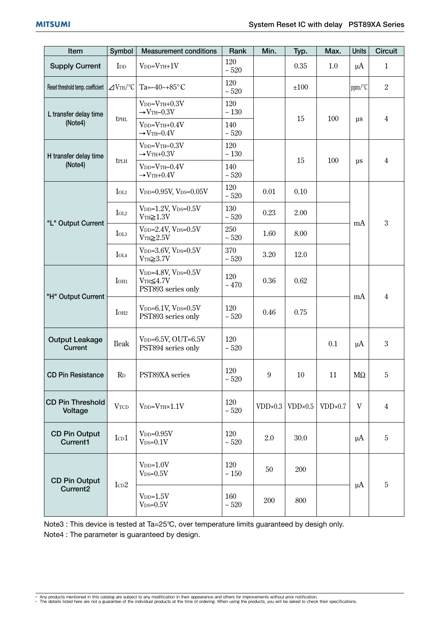| Item                                         | Symbol                      | <b>Measurement conditions</b>                                                           | Rank              | Min.             | Typ.             | Max.    | <b>Units</b>  | <b>Circuit</b> |
|----------------------------------------------|-----------------------------|-----------------------------------------------------------------------------------------|-------------------|------------------|------------------|---------|---------------|----------------|
| <b>Supply Current</b>                        | I <sub>DD</sub>             | $VDD=VTH+1V$                                                                            | 120<br>$\sim 520$ |                  | 0.35             | 1.0     | $\mu$ A       | $\mathbf{1}$   |
| Reset threshold temp. coefficient            | $\angle$ VTH/°C             | Ta= $-40$ ~+85°C                                                                        | 120<br>$\sim 520$ |                  | ±100             |         | ppm/°C        | $\overline{2}$ |
| L transfer delay time<br>(Note4)             | tphl                        | $V_{DD}=V_{TH}+0.3V$<br>$\rightarrow$ VTH-0.3V                                          | 120<br>$\sim 130$ |                  | 15               | 100     | $\mu s$       | $\overline{4}$ |
|                                              |                             | $V_{DD}=V_{TH}+0.4V$<br>$\rightarrow$ VTH-0.4V                                          | 140<br>$\sim 520$ |                  |                  |         |               |                |
| H transfer delay time<br>(Note4)             | tplh                        | $V_{DD}=V_{TH}-0.3V$<br>$\rightarrow$ VTH+0.3V                                          | 120<br>$\sim 130$ |                  | 15<br>100        |         |               |                |
|                                              |                             | $V_{DD}=V_{TH}-0.4V$<br>$\rightarrow$ VTH+0.4V                                          | 140<br>$\sim 520$ |                  |                  |         | $\mu s$       | 4              |
| "L" Output Current                           | $I_{OL1}$                   | $V_{DD}=0.95V$ , $V_{DS}=0.05V$                                                         | 120<br>$\sim 520$ | 0.01             | 0.10             |         | mA            | 3              |
|                                              | IOL <sub>2</sub>            | $V_{DD}=1.2V$ , $V_{DS}=0.5V$<br>$VTH \geq 1.3V$                                        | 130<br>$\sim 520$ | 0.23             | 2.00             |         |               |                |
|                                              | $I_{OL3}$                   | $V_{DD} = 2.4V$ , $V_{DS} = 0.5V$<br>$VTH\geq 2.5V$                                     | 250<br>$\sim 520$ | 1.60             | 8.00             |         |               |                |
|                                              | $I_{OL4}$                   | $V_{DD}=3.6V$ , $V_{DS}=0.5V$<br>$VTH \geq 3.7V$                                        | 370<br>$\sim 520$ | 3.20             | 12.0             |         |               |                |
| "H" Output Current                           | I <sub>OH1</sub>            | V <sub>DD</sub> =4.8V, V <sub>DS</sub> = $0.5V$<br>$VTH\leq 4.7V$<br>PST893 series only | 120<br>~170       | 0.36             | 0.62             |         | mA            | $\overline{4}$ |
|                                              | IOH <sub>2</sub>            | $V_{DD}=6.1V$ , $V_{DS}=0.5V$<br>PST893 series only                                     | 120<br>$\sim 520$ | 0.46             | 0.75             |         |               |                |
| <b>Output Leakage</b><br>Current             | <b>Ileak</b>                | $V_{DD}=6.5V$ , OUT=6.5V<br>PST894 series only                                          | 120<br>$\sim 520$ |                  |                  | 0.1     | $\mu$ A       | 3              |
| <b>CD Pin Resistance</b>                     | $R_{D}$                     | PST89XA series                                                                          | 120<br>$\sim 520$ | 9                | $10\,$           | 11      | $\rm M\Omega$ | 5              |
| <b>CD Pin Threshold</b><br>Voltage           | <b>VTCD</b>                 | $V_{DD}=V_{TH}\times 1.1V$                                                              | 120<br>$\sim 520$ | $VDD \times 0.3$ | $VDD \times 0.5$ | VDD×0.7 | V             | $\overline{4}$ |
| <b>CD Pin Output</b><br>Current1             | ICD1                        | $V_{DD}=0.95V$<br>$V_{DS}=0.1V$                                                         | 120<br>$\sim 520$ | 2.0              | 30.0             |         | $\mu$ A       | 5              |
| <b>CD Pin Output</b><br>Current <sub>2</sub> | $\mbox{I}\mbox{c}\mbox{D}2$ | $VDD=1.0V$<br>$V_{DS}=0.5V$                                                             | 120<br>$\sim 150$ | 50               | 200              |         | $\mu$ A       | 5              |
|                                              |                             | $V_{DD}=1.5V$<br>$V_{DS}=0.5V$                                                          | 160<br>$\sim 520$ | 200              | 800              |         |               |                |

Note3 : This device is tested at Ta=25°C, over temperature limits guaranteed by desigh only. Note4 : The parameter is guaranteed by design.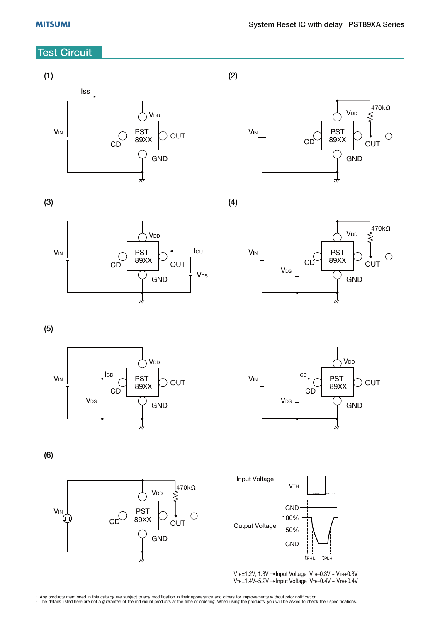## **Test Circuit**

### (1)



(2)

(4)



(3)





(5)





(6)





 $V$ TH=1.2V, 1.3V  $\rightarrow$  Input Voltage VTH-0.3V ~ VTH+0.3V  $V$ TH=1.4V~5.2V  $\rightarrow$  Input Voltage VTH-0.4V ~ VTH+0.4V

• Any products mentioned in this catalog are subject to any modification in their appearance and others for improvements without prior notification.<br>• The details listed here are not a guarantee of the individual products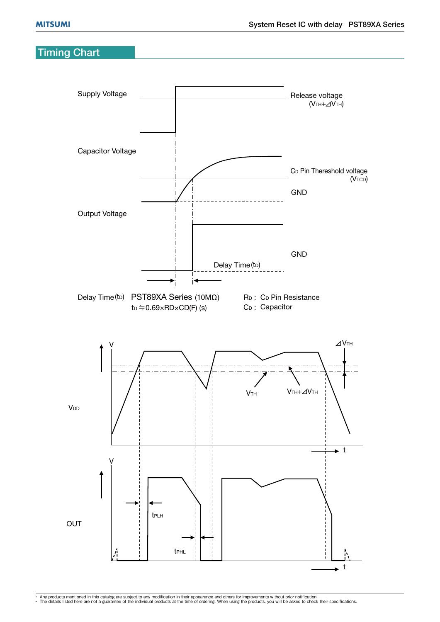## Timing Chart



• Any products mentioned in this catalog are subject to any modification in their appearance and others for improvements without prior notification.<br>• The details listed here are not a guarantee of the individual products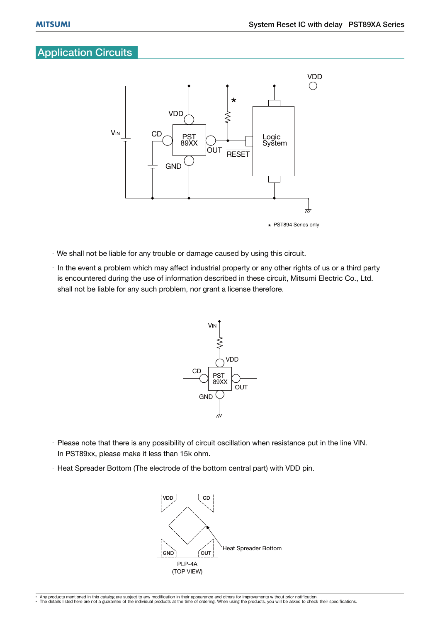## **Application Circuits**



- We shall not be liable for any trouble or damage caused by using this circuit.
- $\cdot$  In the event a problem which may affect industrial property or any other rights of us or a third party is encountered during the use of information described in these circuit, Mitsumi Electric Co., Ltd. shall not be liable for any such problem, nor grant a license therefore.



- Please note that there is any possibility of circuit oscillation when resistance put in the line VIN. In PST89xx, please make it less than 15k ohm.
- $\cdot$  Heat Spreader Bottom (The electrode of the bottom central part) with VDD pin.

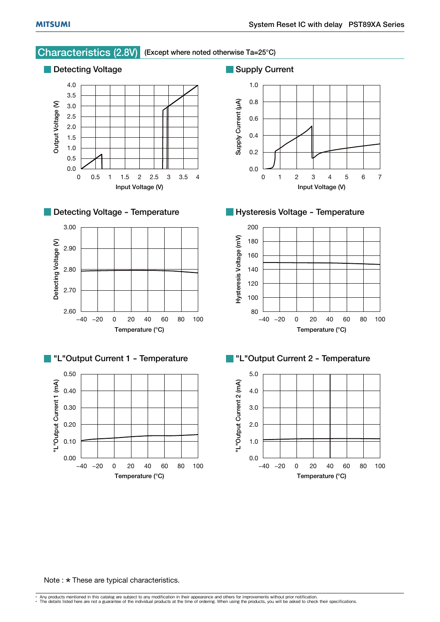

#### Note :  $\star$  These are typical characteristics.

<sup>•</sup> Any products mentioned in this catalog are subject to any modification in their appearance and others for improvements without prior notification.<br>• The details listed here are not a guarantee of the individual products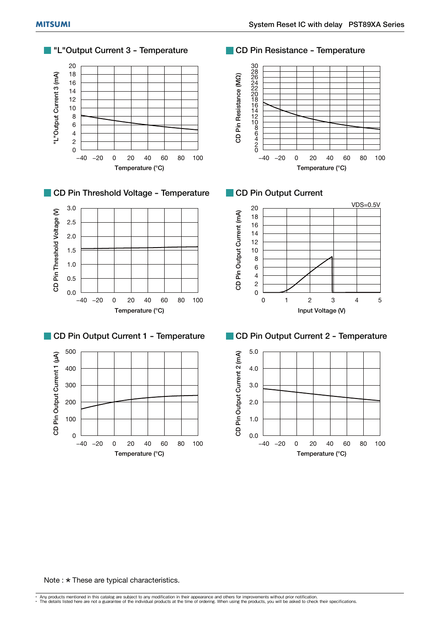





#### CD Pin Output Current 1 - Temperature



#### **T** "L"Output Current 3 - Temperature **CD** CD Pin Resistance - Temperature







#### CD Pin Output Current 2 - Temperature



#### Note :  $\star$  These are typical characteristics.

<sup>•</sup> Any products mentioned in this catalog are subject to any modification in their appearance and others for improvements without prior notification.<br>• The details listed here are not a guarantee of the individual products